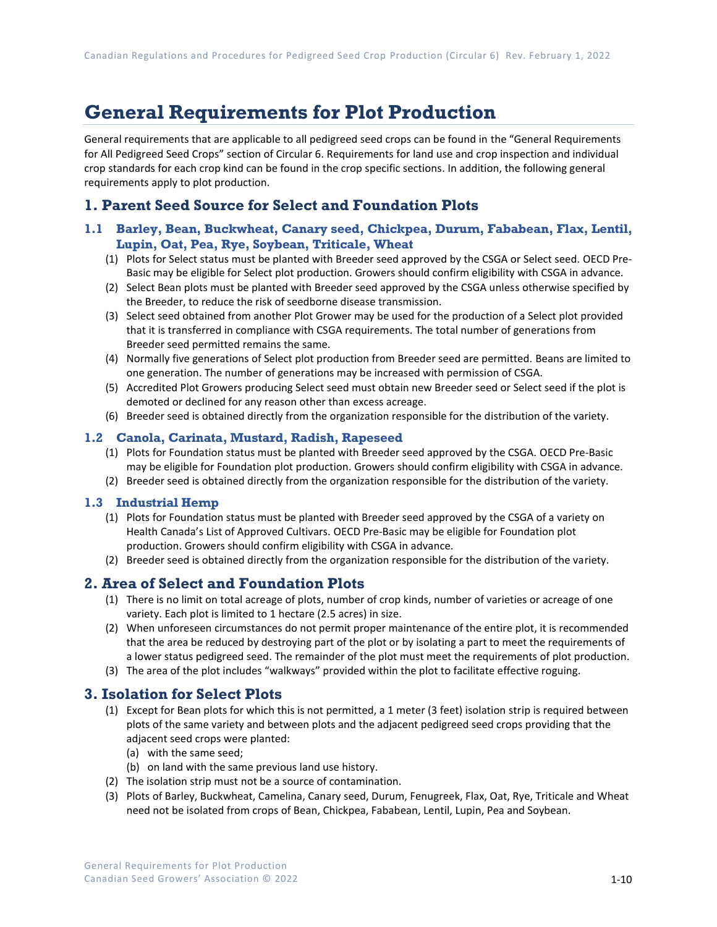# **General Requirements for Plot Production**

General requirements that are applicable to all pedigreed seed crops can be found in the "General Requirements for All Pedigreed Seed Crops" section of Circular 6. Requirements for land use and crop inspection and individual crop standards for each crop kind can be found in the crop specific sections. In addition, the following general requirements apply to plot production.

# **1. Parent Seed Source for Select and Foundation Plots**

- **1.1 Barley, Bean, Buckwheat, Canary seed, Chickpea, Durum, Fababean, Flax, Lentil, Lupin, Oat, Pea, Rye, Soybean, Triticale, Wheat**
	- (1) Plots for Select status must be planted with Breeder seed approved by the CSGA or Select seed. OECD Pre-Basic may be eligible for Select plot production. Growers should confirm eligibility with CSGA in advance.
	- (2) Select Bean plots must be planted with Breeder seed approved by the CSGA unless otherwise specified by the Breeder, to reduce the risk of seedborne disease transmission.
	- (3) Select seed obtained from another Plot Grower may be used for the production of a Select plot provided that it is transferred in compliance with CSGA requirements. The total number of generations from Breeder seed permitted remains the same.
	- (4) Normally five generations of Select plot production from Breeder seed are permitted. Beans are limited to one generation. The number of generations may be increased with permission of CSGA.
	- (5) Accredited Plot Growers producing Select seed must obtain new Breeder seed or Select seed if the plot is demoted or declined for any reason other than excess acreage.
	- (6) Breeder seed is obtained directly from the organization responsible for the distribution of the variety.

#### **1.2 Canola, Carinata, Mustard, Radish, Rapeseed**

- (1) Plots for Foundation status must be planted with Breeder seed approved by the CSGA. OECD Pre-Basic may be eligible for Foundation plot production. Growers should confirm eligibility with CSGA in advance.
- (2) Breeder seed is obtained directly from the organization responsible for the distribution of the variety.

#### **1.3 Industrial Hemp**

- (1) Plots for Foundation status must be planted with Breeder seed approved by the CSGA of a variety on Health Canada's List of Approved Cultivars. OECD Pre-Basic may be eligible for Foundation plot production. Growers should confirm eligibility with CSGA in advance.
- (2) Breeder seed is obtained directly from the organization responsible for the distribution of the variety.

## **2. Area of Select and Foundation Plots**

- (1) There is no limit on total acreage of plots, number of crop kinds, number of varieties or acreage of one variety. Each plot is limited to 1 hectare (2.5 acres) in size.
- (2) When unforeseen circumstances do not permit proper maintenance of the entire plot, it is recommended that the area be reduced by destroying part of the plot or by isolating a part to meet the requirements of a lower status pedigreed seed. The remainder of the plot must meet the requirements of plot production.
- (3) The area of the plot includes "walkways" provided within the plot to facilitate effective roguing.

## **3. Isolation for Select Plots**

- (1) Except for Bean plots for which this is not permitted, a 1 meter (3 feet) isolation strip is required between plots of the same variety and between plots and the adjacent pedigreed seed crops providing that the adjacent seed crops were planted:
	- (a) with the same seed;
	- (b) on land with the same previous land use history.
- (2) The isolation strip must not be a source of contamination.
- (3) Plots of Barley, Buckwheat, Camelina, Canary seed, Durum, Fenugreek, Flax, Oat, Rye, Triticale and Wheat need not be isolated from crops of Bean, Chickpea, Fababean, Lentil, Lupin, Pea and Soybean.